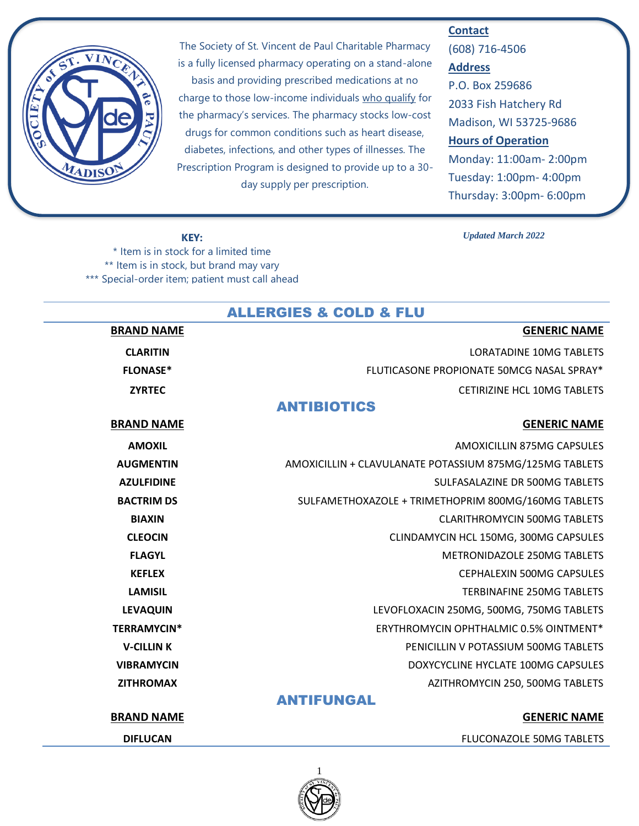

The Society of St. Vincent de Paul Charitable Pharmacy is a fully licensed pharmacy operating on a stand-alone basis and providing prescribed medications at no charge to those low-income individuals who qualify for the pharmacy's services. The pharmacy stocks low-cost drugs for common conditions such as heart disease, diabetes, infections, and other types of illnesses. The Prescription Program is designed to provide up to a 30 day supply per prescription.

#### **Contact**

(608) 716-4506 **Address** P.O. Box 259686 2033 Fish Hatchery Rd Madison, WI 53725-9686 **Hours of Operation** Monday: 11:00am- 2:00pm Tuesday: 1:00pm- 4:00pm Thursday: 3:00pm- 6:00pm

#### **KEY:**

\* Item is in stock for a limited time \*\* Item is in stock, but brand may vary \*\*\* Special-order item; patient must call ahead

#### *Updated March 2022*

| <b>ALLERGIES &amp; COLD &amp; FLU</b> |                                                         |
|---------------------------------------|---------------------------------------------------------|
| <b>BRAND NAME</b>                     | <b>GENERIC NAME</b>                                     |
| <b>CLARITIN</b>                       | <b>LORATADINE 10MG TABLETS</b>                          |
| <b>FLONASE*</b>                       | FLUTICASONE PROPIONATE 50MCG NASAL SPRAY*               |
| <b>ZYRTEC</b>                         | CETIRIZINE HCL 10MG TABLETS                             |
|                                       | <b>ANTIBIOTICS</b>                                      |
| <b>BRAND NAME</b>                     | <b>GENERIC NAME</b>                                     |
| <b>AMOXIL</b>                         | AMOXICILLIN 875MG CAPSULES                              |
| <b>AUGMENTIN</b>                      | AMOXICILLIN + CLAVULANATE POTASSIUM 875MG/125MG TABLETS |
| <b>AZULFIDINE</b>                     | SULFASALAZINE DR 500MG TABLETS                          |
| <b>BACTRIM DS</b>                     | SULFAMETHOXAZOLE + TRIMETHOPRIM 800MG/160MG TABLETS     |
| <b>BIAXIN</b>                         | <b>CLARITHROMYCIN 500MG TABLETS</b>                     |
| <b>CLEOCIN</b>                        | CLINDAMYCIN HCL 150MG, 300MG CAPSULES                   |
| <b>FLAGYL</b>                         | <b>METRONIDAZOLE 250MG TABLETS</b>                      |
| <b>KEFLEX</b>                         | CEPHALEXIN 500MG CAPSULES                               |
| <b>LAMISIL</b>                        | <b>TERBINAFINE 250MG TABLETS</b>                        |
| <b>LEVAQUIN</b>                       | LEVOFLOXACIN 250MG, 500MG, 750MG TABLETS                |
| <b>TERRAMYCIN*</b>                    | ERYTHROMYCIN OPHTHALMIC 0.5% OINTMENT*                  |
| <b>V-CILLINK</b>                      | PENICILLIN V POTASSIUM 500MG TABLETS                    |
| <b>VIBRAMYCIN</b>                     | DOXYCYCLINE HYCLATE 100MG CAPSULES                      |
| <b>ZITHROMAX</b>                      | AZITHROMYCIN 250, 500MG TABLETS                         |
|                                       | <b>ANTIFUNGAL</b>                                       |
| <b>BRAND NAME</b>                     | <b>GENERIC NAME</b>                                     |
| <b>DIFLUCAN</b>                       | FLUCONAZOLE 50MG TABLETS                                |

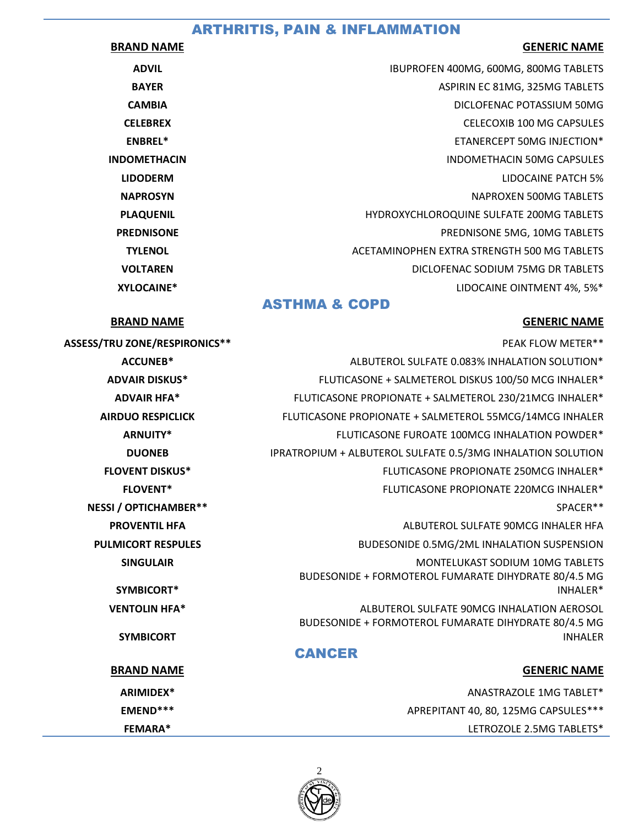# ARTHRITIS, PAIN & INFLAMMATION

#### **BRAND NAME GENERIC NAME**

| <b>ADVIL</b>        | IBUPROFEN 400MG, 600MG, 800MG TABLETS       |
|---------------------|---------------------------------------------|
| <b>BAYER</b>        | ASPIRIN EC 81MG, 325MG TABLETS              |
| <b>CAMBIA</b>       | DICLOFENAC POTASSIUM 50MG                   |
| <b>CELEBREX</b>     | <b>CELECOXIB 100 MG CAPSULES</b>            |
| <b>ENBREL*</b>      | ETANERCEPT 50MG INJECTION*                  |
| <b>INDOMETHACIN</b> | INDOMETHACIN 50MG CAPSULES                  |
| <b>LIDODERM</b>     | LIDOCAINE PATCH 5%                          |
| <b>NAPROSYN</b>     | NAPROXEN 500MG TABLETS                      |
| <b>PLAQUENIL</b>    | HYDROXYCHLOROQUINE SULFATE 200MG TABLETS    |
| <b>PREDNISONE</b>   | PREDNISONE 5MG, 10MG TABLETS                |
| <b>TYLENOL</b>      | ACETAMINOPHEN EXTRA STRENGTH 500 MG TABLETS |
| <b>VOLTAREN</b>     | DICLOFENAC SODIUM 75MG DR TABLETS           |
| XYLOCAINE*          | LIDOCAINE OINTMENT 4%, 5%*                  |
|                     |                                             |

## ASTHMA & COPD

#### **BRAND NAME GENERIC NAME**

| <b>ASSESS/TRU ZONE/RESPIRONICS**</b> | PEAK FLOW METER**                                                                                  |
|--------------------------------------|----------------------------------------------------------------------------------------------------|
| <b>ACCUNEB*</b>                      | ALBUTEROL SULFATE 0.083% INHALATION SOLUTION*                                                      |
| <b>ADVAIR DISKUS*</b>                | FLUTICASONE + SALMETEROL DISKUS 100/50 MCG INHALER*                                                |
| <b>ADVAIR HFA*</b>                   | FLUTICASONE PROPIONATE + SALMETEROL 230/21MCG INHALER*                                             |
| <b>AIRDUO RESPICLICK</b>             | FLUTICASONE PROPIONATE + SALMETEROL 55MCG/14MCG INHALER                                            |
| <b>ARNUITY*</b>                      | FLUTICASONE FUROATE 100MCG INHALATION POWDER*                                                      |
| <b>DUONEB</b>                        | IPRATROPIUM + ALBUTEROL SULFATE 0.5/3MG INHALATION SOLUTION                                        |
| <b>FLOVENT DISKUS*</b>               | FLUTICASONE PROPIONATE 250MCG INHALER*                                                             |
| <b>FLOVENT*</b>                      | FLUTICASONE PROPIONATE 220MCG INHALER*                                                             |
| <b>NESSI / OPTICHAMBER**</b>         | SPACER**                                                                                           |
| <b>PROVENTIL HFA</b>                 | ALBUTEROL SULFATE 90MCG INHALER HFA                                                                |
| <b>PULMICORT RESPULES</b>            | BUDESONIDE 0.5MG/2ML INHALATION SUSPENSION                                                         |
| <b>SINGULAIR</b>                     | MONTELUKAST SODIUM 10MG TABLETS                                                                    |
| SYMBICORT*                           | BUDESONIDE + FORMOTEROL FUMARATE DIHYDRATE 80/4.5 MG<br>INHALER*                                   |
| <b>VENTOLIN HFA*</b>                 | ALBUTEROL SULFATE 90MCG INHALATION AEROSOL<br>BUDESONIDE + FORMOTEROL FUMARATE DIHYDRATE 80/4.5 MG |
| <b>SYMBICORT</b>                     | <b>INHALER</b>                                                                                     |
|                                      | <b>CANCER</b>                                                                                      |
| <b>BRAND NAME</b>                    | <b>GENERIC NAME</b>                                                                                |
| ARIMIDEX*                            | ANASTRAZOLE 1MG TABLET*                                                                            |
| EMEND***                             | APREPITANT 40, 80, 125MG CAPSULES***                                                               |



| <b>SSESS/TRU ZONE/RESPIRONICS**</b> | PEAK FLOW METER**                                                                                  |
|-------------------------------------|----------------------------------------------------------------------------------------------------|
| <b>ACCUNEB*</b>                     | ALBUTEROL SULFATE 0.083% INHALATION SOLUTION*                                                      |
| <b>ADVAIR DISKUS*</b>               | FLUTICASONE + SALMETEROL DISKUS 100/50 MCG INHALER*                                                |
| <b>ADVAIR HFA*</b>                  | FLUTICASONE PROPIONATE + SALMETEROL 230/21MCG INHALER*                                             |
| <b>AIRDUO RESPICLICK</b>            | FLUTICASONE PROPIONATE + SALMETEROL 55MCG/14MCG INHALER                                            |
| <b>ARNUITY*</b>                     | FLUTICASONE FUROATE 100MCG INHALATION POWDER*                                                      |
| <b>DUONEB</b>                       | IPRATROPIUM + ALBUTEROL SULFATE 0.5/3MG INHALATION SOLUTION                                        |
| <b>FLOVENT DISKUS*</b>              | FLUTICASONE PROPIONATE 250MCG INHALER*                                                             |
| <b>FLOVENT*</b>                     | FLUTICASONE PROPIONATE 220MCG INHALER*                                                             |
| <b>NESSI / OPTICHAMBER**</b>        | SPACER**                                                                                           |
| <b>PROVENTIL HFA</b>                | ALBUTEROL SULFATE 90MCG INHALER HFA                                                                |
| <b>PULMICORT RESPULES</b>           | BUDESONIDE 0.5MG/2ML INHALATION SUSPENSION                                                         |
| <b>SINGULAIR</b>                    | <b>MONTELUKAST SODIUM 10MG TABLETS</b><br>BUDESONIDE + FORMOTEROL FUMARATE DIHYDRATE 80/4.5 MG     |
| SYMBICORT*                          | INHALER*                                                                                           |
| <b>VENTOLIN HFA*</b>                | ALBUTEROL SULFATE 90MCG INHALATION AEROSOL<br>BUDESONIDE + FORMOTEROL FUMARATE DIHYDRATE 80/4.5 MG |
| <b>SYMBICORT</b>                    | <b>INHALER</b><br><b>CANCER</b>                                                                    |
| <b>BRAND NAME</b>                   | <b>GENERIC NAME</b>                                                                                |
| ARIMIDEX*                           | ANASTRAZOLE 1MG TABLET*                                                                            |
| EMEND***                            | APREPITANT 40, 80, 125MG CAPSULES***                                                               |
| <b>FEMARA*</b>                      | LETROZOLE 2.5MG TABLETS*                                                                           |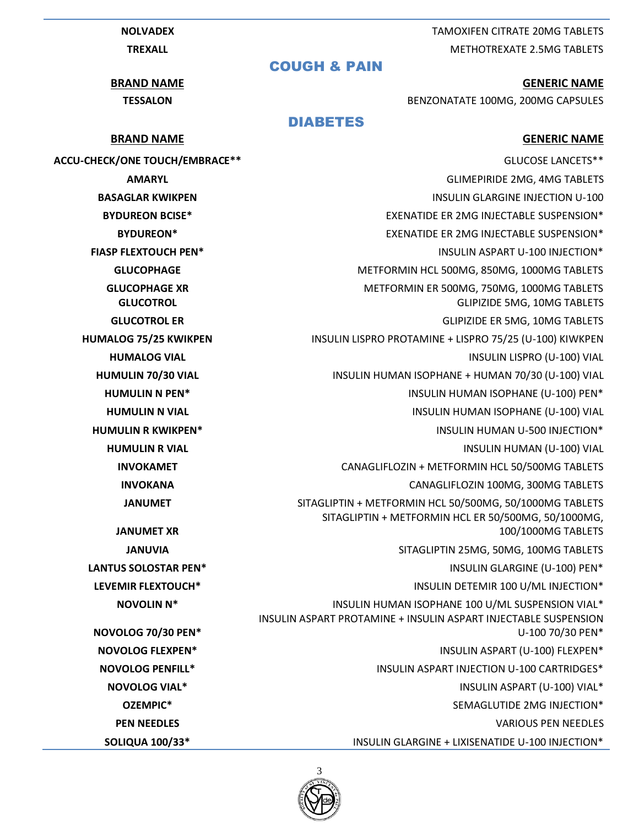**NOLVADEX** TAMOXIFEN CITRATE 20MG TABLETS **TREXALL TREXALL** TREXALL TREXALL TREXALL TREXALL TREXALL TREXALL TREXALL TREXALL TREXALL TREXALL TREXALL TREXALL TREXALL TREXALL TREXALL TREXALL TREXALL TREXALL TREXALL TREXALL TREXALL TREXALL TREXALL TREXALL TREXALL TREX

#### **BRAND NAME GENERIC NAME**

**TESSALON** BENZONATATE 100MG, 200MG CAPSULES

**ACCU-CHECK/ONE TOUCH/EMBRACE\*\*** GLUCOSE LANCETS\*\* **AMARYL** GLIMEPIRIDE 2MG, 4MG TABLETS **BASAGLAR KWIKPEN INSULIN GLARGINE INJECTION U-100 BYDUREON BCISE\*** EXENATION EXENATION EXENATION EXENATION EXERCISES AND EXERCISE AND EXERCISE AND EXERCISE AND EXERCISE AND EXERCISE AND EXERCISE AND EXERCISE AND EXERCISE AND EXERCISE AND EXERCISE AND EXERCISE AND EXERCIS **BYDUREON\*** EXENATIDE ER 2MG INJECTABLE SUSPENSION\* **FIASP FLEXTOUCH PEN\*** INSULIN ASPART U-100 INJECTION\* **GLUCOPHAGE** METFORMIN HCL 500MG, 850MG, 1000MG TABLETS **GLUCOPHAGE XR METRORMIN ER 500MG, 750MG, 1000MG TABLETS GLUCOTROL** GLIPIZIDE 5MG, 10MG TABLETS **GLUCOTROL ER** GLIPIZIDE ER 5MG, 10MG TABLETS **HUMALOG 75/25 KWIKPEN** INSULIN LISPRO PROTAMINE + LISPRO 75/25 (U-100) KIWKPEN **HUMALOG VIAL INSULIN LISPRO (U-100) VIAL HUMULIN 70/30 VIAL** INSULIN HUMAN ISOPHANE + HUMAN 70/30 (U-100) VIAL **HUMULIN N PEN\*** INSULIN HUMAN ISOPHANE (U-100) PEN\* **HUMULIN N VIAL INSULIN HUMAN ISOPHANE (U-100) VIAL HUMULIN R KWIKPEN\* INSULIN HUMAN U-500 INJECTION\* HUMULIN R VIAL INSULIN HUMAN (U-100) VIAL INVOKAMET** CANAGLIFLOZIN + METFORMIN HCL 50/500MG TABLETS **INVOKANA** CANAGLIFLOZIN 100MG, 300MG TABLETS **JANUMET** SITAGLIPTIN + METFORMIN HCL 50/500MG, 50/1000MG TABLETS SITAGLIPTIN + METFORMIN HCL ER 50/500MG, 50/1000MG, 100/1000MG TABLETS **JANUVIA** SITAGLIPTIN 25MG, 50MG, 100MG TABLETS **LANTUS SOLOSTAR PEN\*** INSULIN GLARGINE (U-100) PEN\* **LEVEMIR FLEXTOUCH\*** INSULIN DETEMIR 100 U/ML INJECTION\* **NOVOLIN N\* INSULIN HUMAN ISOPHANE 100 U/ML SUSPENSION VIAL\*** INSULIN ASPART PROTAMINE + INSULIN ASPART INJECTABLE SUSPENSION U-100 70/30 PEN\* **NOVOLOG FLEXPEN\*** INSULIN ASPART (U-100) FLEXPEN\* **NOVOLOG PENFILL\* INSULIN ASPART INJECTION U-100 CARTRIDGES\* NOVOLOG VIAL\*** INSULIN ASPART (U-100) VIAL\* **OZEMPIC\*** SEMAGLUTIDE 2MG INJECTION\* **PEN NEEDLES** VARIOUS PEN NEEDLES **SOLIQUA 100/33\*** INSULIN GLARGINE + LIXISENATIDE U-100 INJECTION\*



3

COUGH & PAIN

DIABETES

### **BRAND NAME GENERIC NAME GENERIC NAME**

**JANUMET XR**

**NOVOLOG 70/30 PEN\***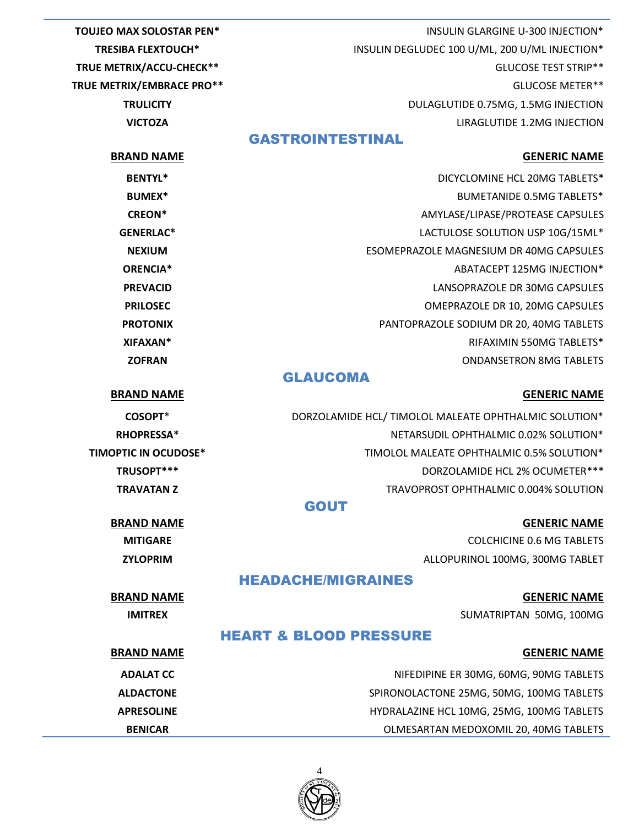**TOUJEO MAX SOLOSTAR PEN\*** INSULIN GLARGINE U-300 INJECTION\* **TRESIBA FLEXTOUCH\*** INSULIN DEGLUDEC 100 U/ML, 200 U/ML INJECTION\* **TRUE METRIX/ACCU-CHECK\*\*** GLUCOSE TEST STRIP\*\* **TRUE METRIX/EMBRACE PRO\*\*** GLUCOSE METER\*\* **TRULICITY DULAGLUTIDE 0.75MG, 1.5MG INJECTION VICTOZA** LIRAGLUTIDE 1.2MG INJECTION GASTROINTESTINAL **BRAND NAME GENERIC NAME GENERIC NAME BENTYL\*** BENTYL\* DICYCLOMINE HCL 20MG TABLETS\* **BUMEX\*** BUMETANIDE 0.5MG TABLETS\* **CREON\*** AMYLASE/LIPASE/PROTEASE CAPSULES **GENERLAC\*** LACTULOSE SOLUTION USP 10G/15ML\* **NEXIUM** ESOMEPRAZOLE MAGNESIUM DR 40MG CAPSULES **ORENCIA\*** ABATACEPT 125MG INJECTION\* **PREVACID** LANSOPRAZOLE DR 30MG CAPSULES

**PRILOSEC CONTRACTED BY A PRILOSEC OMEPRAZOLE DR 10, 20MG CAPSULES PROTONIX** PANTOPRAZOLE SODIUM DR 20, 40MG TABLETS **XIFAXAN\*** RIFAXIMIN 550MG TABLETS\* **ZOFRAN CORRAN CONDANSET AND ALL AND ANGLO-SET AND ANGLO-SET AND ANGLO-SET AND ANGLO-SET ANGLO-SET ANGLO-SET ANGLO-SET ANGLO-SET ANGLO-SET ANGLO-SET ANGLO-SET ANGLO-SET ANGLO-SET ANGLO-SET ANGLO-SET ANGLO-SET ANGLO-SET A** 

#### GLAUCOMA

**BRAND NAME GENERIC NAME GENERIC NAME** 

| COSOPT <sup>*</sup>     | DORZOLAMIDE HCL/TIMOLOL MALEATE OPHTHALMIC SOLUTION* |
|-------------------------|------------------------------------------------------|
| <b>RHOPRESSA*</b>       | NETARSUDIL OPHTHALMIC 0.02% SOLUTION*                |
| <b>PTIC IN OCUDOSE*</b> | TIMOLOL MALEATE OPHTHALMIC 0.5% SOLUTION*            |
| TRUSOPT***              | DORZOLAMIDE HCL 2% OCUMETER***                       |
| TRAVATAN Z              | TRAVOPROST OPHTHALMIC 0.004% SOLUTION                |
|                         |                                                      |

#### GOUT

**BRAND NAME GENERIC NAME GENERIC NAME MITIGARE** COLCHICINE 0.6 MG TABLETS **ZYLOPRIM** ALLOPURINOL 100MG, 300MG TABLET

## HEADACHE/MIGRAINES

**TIMOPTIC IN OCUDOSE\*** 

**BRAND NAME GENERIC NAME GENERIC NAME IMITREX** SUMATRIPTAN 50MG, 100MG

### HEART & BLOOD PRESSURE

| <b>BRAND NAME</b> | <b>GENERIC NAME</b>                       |
|-------------------|-------------------------------------------|
| <b>ADALAT CC</b>  | NIFEDIPINE ER 30MG, 60MG, 90MG TABLETS    |
| <b>ALDACTONE</b>  | SPIRONOLACTONE 25MG, 50MG, 100MG TABLETS  |
| <b>APRESOLINE</b> | HYDRALAZINE HCL 10MG, 25MG, 100MG TABLETS |
| <b>BENICAR</b>    | OLMESARTAN MEDOXOMIL 20, 40MG TABLETS     |

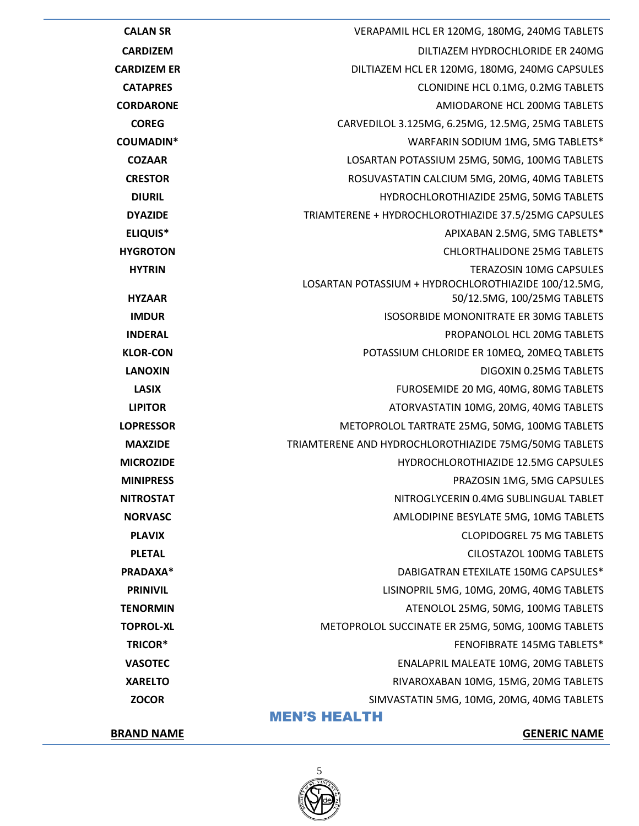

#### **BRAND NAME GENERIC NAME**

| <b>COZAAR</b>    | LOSARTAN POTASSIUM 25MG, 50MG, 100MG TABLETS                                           |
|------------------|----------------------------------------------------------------------------------------|
| <b>CRESTOR</b>   | ROSUVASTATIN CALCIUM 5MG, 20MG, 40MG TABLETS                                           |
| <b>DIURIL</b>    | HYDROCHLOROTHIAZIDE 25MG, 50MG TABLETS                                                 |
| <b>DYAZIDE</b>   | TRIAMTERENE + HYDROCHLOROTHIAZIDE 37.5/25MG CAPSULES                                   |
| <b>ELIQUIS*</b>  | APIXABAN 2.5MG, 5MG TABLETS*                                                           |
| <b>HYGROTON</b>  | <b>CHLORTHALIDONE 25MG TABLETS</b>                                                     |
| <b>HYTRIN</b>    | <b>TERAZOSIN 10MG CAPSULES</b><br>LOSARTAN POTASSIUM + HYDROCHLOROTHIAZIDE 100/12.5MG, |
| <b>HYZAAR</b>    | 50/12.5MG, 100/25MG TABLETS                                                            |
| <b>IMDUR</b>     | <b>ISOSORBIDE MONONITRATE ER 30MG TABLETS</b>                                          |
| <b>INDERAL</b>   | PROPANOLOL HCL 20MG TABLETS                                                            |
| <b>KLOR-CON</b>  | POTASSIUM CHLORIDE ER 10MEQ, 20MEQ TABLETS                                             |
| <b>LANOXIN</b>   | DIGOXIN 0.25MG TABLETS                                                                 |
| <b>LASIX</b>     | FUROSEMIDE 20 MG, 40MG, 80MG TABLETS                                                   |
| <b>LIPITOR</b>   | ATORVASTATIN 10MG, 20MG, 40MG TABLETS                                                  |
| <b>LOPRESSOR</b> | METOPROLOL TARTRATE 25MG, 50MG, 100MG TABLETS                                          |
| <b>MAXZIDE</b>   | TRIAMTERENE AND HYDROCHLOROTHIAZIDE 75MG/50MG TABLETS                                  |
| <b>MICROZIDE</b> | HYDROCHLOROTHIAZIDE 12.5MG CAPSULES                                                    |
| <b>MINIPRESS</b> | PRAZOSIN 1MG, 5MG CAPSULES                                                             |
| <b>NITROSTAT</b> | NITROGLYCERIN 0.4MG SUBLINGUAL TABLET                                                  |
| <b>NORVASC</b>   | AMLODIPINE BESYLATE 5MG, 10MG TABLETS                                                  |
| <b>PLAVIX</b>    | <b>CLOPIDOGREL 75 MG TABLETS</b>                                                       |
| <b>PLETAL</b>    | CILOSTAZOL 100MG TABLETS                                                               |
| PRADAXA*         | DABIGATRAN ETEXILATE 150MG CAPSULES*                                                   |
| <b>PRINIVIL</b>  | LISINOPRIL 5MG, 10MG, 20MG, 40MG TABLETS                                               |
| <b>TENORMIN</b>  | ATENOLOL 25MG, 50MG, 100MG TABLETS                                                     |
| <b>TOPROL-XL</b> | METOPROLOL SUCCINATE ER 25MG, 50MG, 100MG TABLETS                                      |
| TRICOR*          | FENOFIBRATE 145MG TABLETS*                                                             |
| <b>VASOTEC</b>   | <b>ENALAPRIL MALEATE 10MG, 20MG TABLETS</b>                                            |
| <b>XARELTO</b>   | RIVAROXABAN 10MG, 15MG, 20MG TABLETS                                                   |
| <b>ZOCOR</b>     | SIMVASTATIN 5MG, 10MG, 20MG, 40MG TABLETS                                              |
|                  | <b>MEN'S HEALTH</b>                                                                    |

**CALAN SR** VERAPAMIL HCL ER 120MG, 180MG, 240MG TABLETS **CARDIZEM** DILTIAZEM HYDROCHLORIDE ER 240MG **CARDIZEM ER DILTIAZEM HCL ER 120MG, 180MG, 240MG CAPSULES CATAPRES** CLONIDINE HCL 0.1MG, 0.2MG TABLETS **CORDARONE CORDARONE CORDARONE AMIODARONE** HCL 200MG TABLETS **COREG** CARVEDILOL 3.125MG, 6.25MG, 12.5MG, 25MG TABLETS **COUMADIN\*** WARFARIN SODIUM 1MG, 5MG TABLETS\*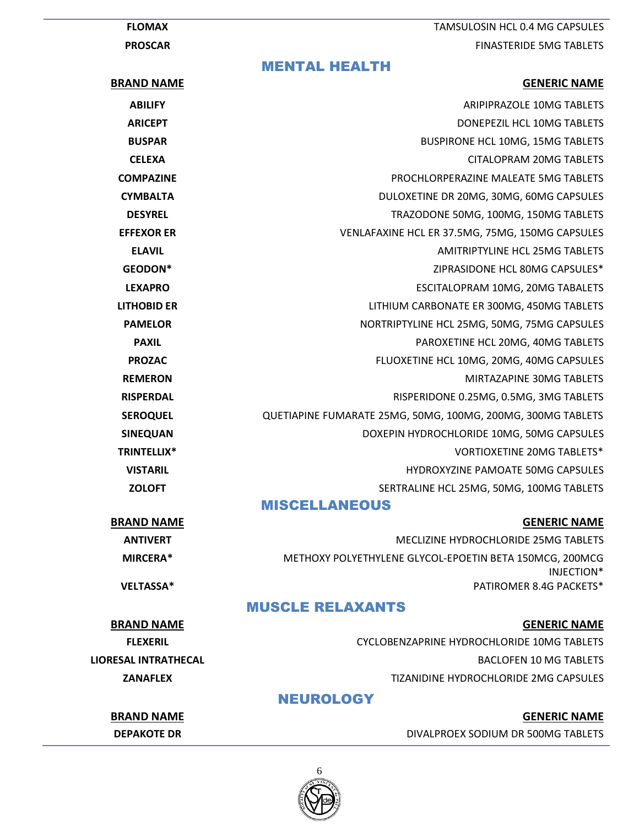**FLOMAX** TAMSULOSIN HCL 0.4 MG CAPSULES **PROSCAR** FINASTERIDE 5MG TABLETS

#### MENTAL HEALTH

| <b>BRAND NAME</b>  | <b>GENERIC NAME</b>                                         |
|--------------------|-------------------------------------------------------------|
| <b>ABILIFY</b>     | ARIPIPRAZOLE 10MG TABLETS                                   |
| <b>ARICEPT</b>     | DONEPEZIL HCL 10MG TABLETS                                  |
| <b>BUSPAR</b>      | <b>BUSPIRONE HCL 10MG, 15MG TABLETS</b>                     |
| <b>CELEXA</b>      | <b>CITALOPRAM 20MG TABLETS</b>                              |
| <b>COMPAZINE</b>   | PROCHLORPERAZINE MALEATE 5MG TABLETS                        |
| <b>CYMBALTA</b>    | DULOXETINE DR 20MG, 30MG, 60MG CAPSULES                     |
| <b>DESYREL</b>     | TRAZODONE 50MG, 100MG, 150MG TABLETS                        |
| <b>EFFEXOR ER</b>  | VENLAFAXINE HCL ER 37.5MG, 75MG, 150MG CAPSULES             |
| <b>ELAVIL</b>      | AMITRIPTYLINE HCL 25MG TABLETS                              |
| GEODON*            | ZIPRASIDONE HCL 80MG CAPSULES*                              |
| <b>LEXAPRO</b>     | ESCITALOPRAM 10MG, 20MG TABALETS                            |
| <b>LITHOBID ER</b> | LITHIUM CARBONATE ER 300MG, 450MG TABLETS                   |
| <b>PAMELOR</b>     | NORTRIPTYLINE HCL 25MG, 50MG, 75MG CAPSULES                 |
| <b>PAXIL</b>       | PAROXETINE HCL 20MG, 40MG TABLETS                           |
| <b>PROZAC</b>      | FLUOXETINE HCL 10MG, 20MG, 40MG CAPSULES                    |
| <b>REMERON</b>     | MIRTAZAPINE 30MG TABLETS                                    |
| <b>RISPERDAL</b>   | RISPERIDONE 0.25MG, 0.5MG, 3MG TABLETS                      |
| <b>SEROQUEL</b>    | QUETIAPINE FUMARATE 25MG, 50MG, 100MG, 200MG, 300MG TABLETS |
| <b>SINEQUAN</b>    | DOXEPIN HYDROCHLORIDE 10MG, 50MG CAPSULES                   |
| TRINTELLIX*        | VORTIOXETINE 20MG TABLETS*                                  |
| <b>VISTARIL</b>    | HYDROXYZINE PAMOATE 50MG CAPSULES                           |
| <b>ZOLOFT</b>      | SERTRALINE HCL 25MG, 50MG, 100MG TABLETS                    |
|                    | <b>MISCELLANEOUS</b>                                        |
| <b>BRAND NAME</b>  | <b>GENERIC NAME</b>                                         |

**ANTIVERT ANTIVERT** AND **MECLIZINE HYDROCHLORIDE 25MG TABLETS MIRCERA\*** METHOXY POLYETHYLENE GLYCOL-EPOETIN BETA 150MCG, 200MCG INJECTION\* **VELTASSA\*** PATIROMER 8.4G PACKETS\*

## MUSCLE RELAXANTS

### **BRAND NAME GENERIC NAME GENERIC NAME**

**FLEXERIL** CYCLOBENZAPRINE HYDROCHLORIDE 10MG TABLETS **LIORESAL INTRATHECAL** BACLOFEN 10 MG TABLETS **ZANAFLEX** TIZANIDINE HYDROCHLORIDE 2MG CAPSULES

# NEUROLOGY

**BRAND NAME GENERIC NAME**

**DEPAKOTE DR** DIVALPROEX SODIUM DR 500MG TABLETS